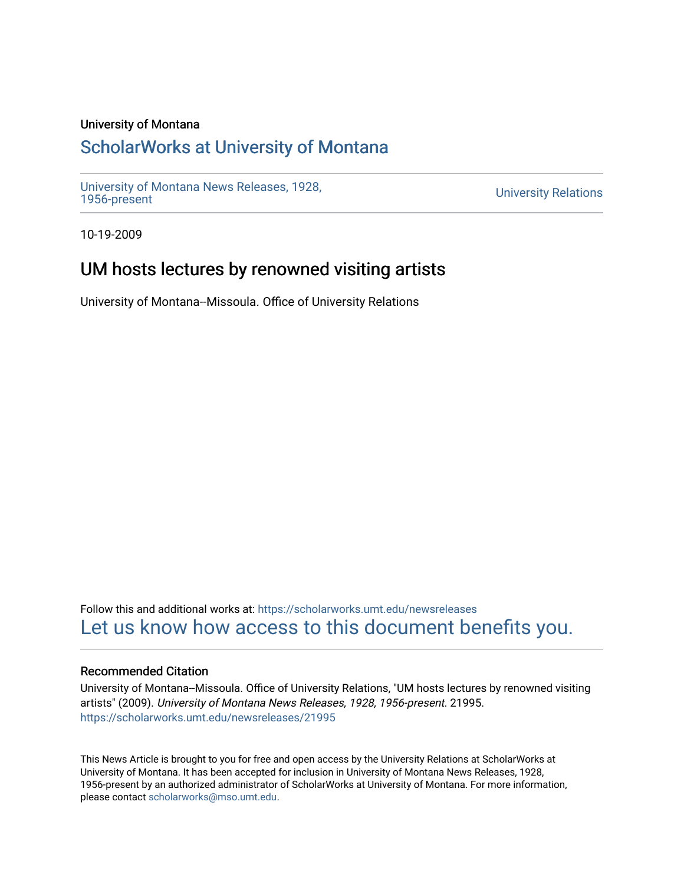### University of Montana

# [ScholarWorks at University of Montana](https://scholarworks.umt.edu/)

[University of Montana News Releases, 1928,](https://scholarworks.umt.edu/newsreleases) 

**University Relations** 

10-19-2009

# UM hosts lectures by renowned visiting artists

University of Montana--Missoula. Office of University Relations

Follow this and additional works at: [https://scholarworks.umt.edu/newsreleases](https://scholarworks.umt.edu/newsreleases?utm_source=scholarworks.umt.edu%2Fnewsreleases%2F21995&utm_medium=PDF&utm_campaign=PDFCoverPages) [Let us know how access to this document benefits you.](https://goo.gl/forms/s2rGfXOLzz71qgsB2) 

### Recommended Citation

University of Montana--Missoula. Office of University Relations, "UM hosts lectures by renowned visiting artists" (2009). University of Montana News Releases, 1928, 1956-present. 21995. [https://scholarworks.umt.edu/newsreleases/21995](https://scholarworks.umt.edu/newsreleases/21995?utm_source=scholarworks.umt.edu%2Fnewsreleases%2F21995&utm_medium=PDF&utm_campaign=PDFCoverPages) 

This News Article is brought to you for free and open access by the University Relations at ScholarWorks at University of Montana. It has been accepted for inclusion in University of Montana News Releases, 1928, 1956-present by an authorized administrator of ScholarWorks at University of Montana. For more information, please contact [scholarworks@mso.umt.edu.](mailto:scholarworks@mso.umt.edu)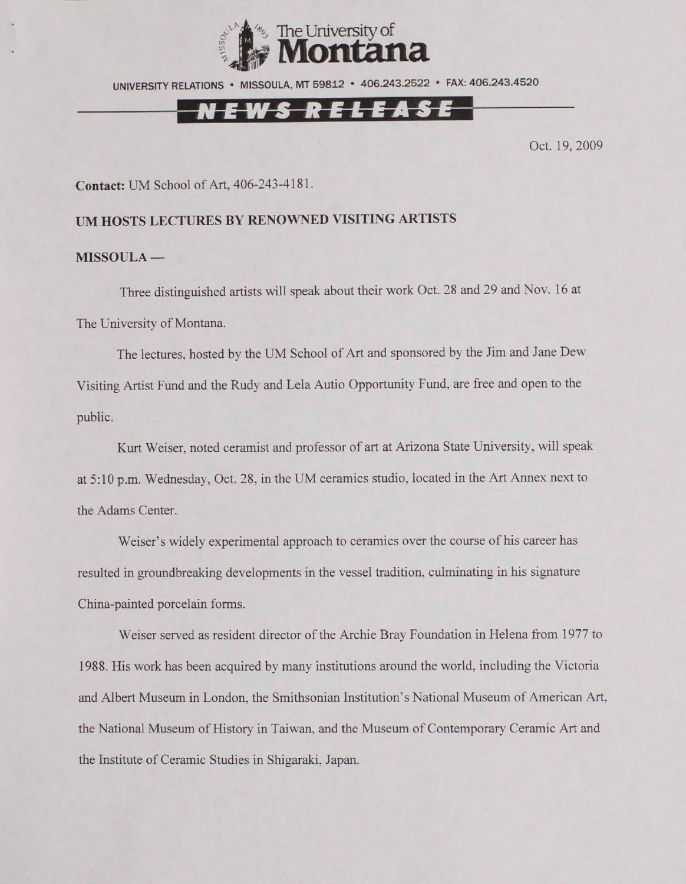

UNIVERSITY RELATIONS • MISSOULA. MT 59812 • 406.243.2522 • FAX: 406.243.4520

### N E W S R E L E A S E

Oct. 19,2009

**Contact:** UM School of Art, 406-243-4181.

#### **UM HOSTS LECTURES BY RENOWNED VISITING ARTISTS**

#### **MISSOULA —**

Three distinguished artists will speak about their work Oct. 28 and 29 and Nov. 16 at The University of Montana.

The lectures, hosted by the UM School of Art and sponsored by the Jim and Jane Dew-Visiting Artist Fund and the Rudy and Lela Autio Opportunity Fund, are free and open to the public.

Kurt Weiser, noted ceramist and professor of art at Arizona State University, will speak at 5:10 p.m. Wednesday, Oct. 28, in the UM ceramics studio, located in the Art Annex next to the Adams Center.

Weiser's widely experimental approach to ceramics over the course of his career has resulted in groundbreaking developments in the vessel tradition, culminating in his signature China-painted porcelain forms.

Weiser served as resident director of the Archie Brav Foundation in Helena from 1977 to 1988. His work has been acquired by many institutions around the world, including the Victoria and Albert Museum in London, the Smithsonian Institution's National Museum of American Art, the National Museum of History in Taiwan, and the Museum of Contemporary Ceramic Art and the Institute of Ceramic Studies in Shigaraki, Japan.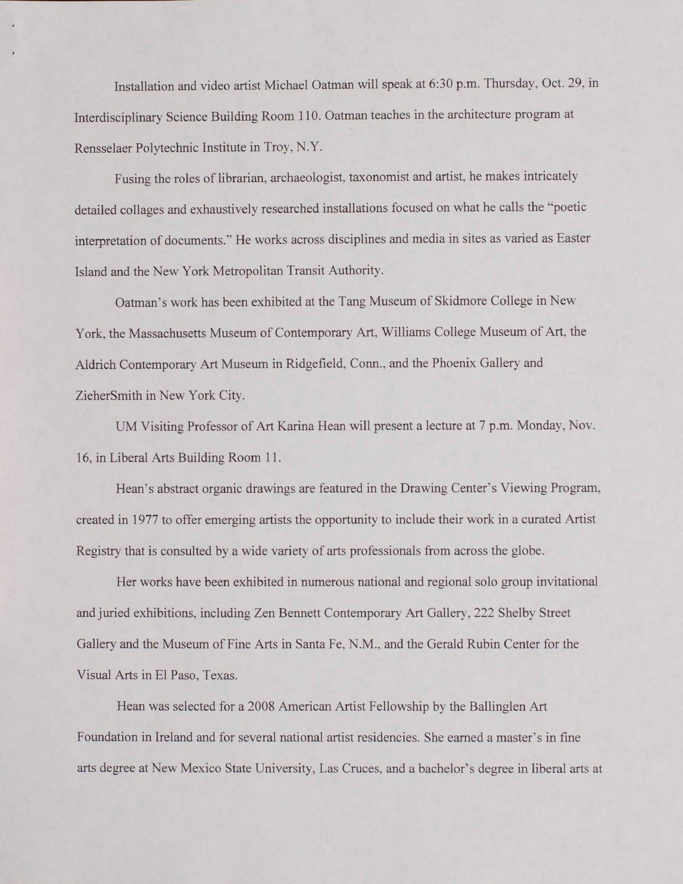Installation and video artist Michael Oatman will speak at 6:30 p.m. Thursday, Oct. 29, in Interdisciplinary Science Building Room 110. Oatman teaches in the architecture program at Rensselaer Polytechnic Institute in Troy, N.Y.

Fusing the roles of librarian, archaeologist, taxonomist and artist, he makes intricately detailed collages and exhaustively researched installations focused on what he calls the "poetic interpretation of documents." He works across disciplines and media in sites as varied as Easter Island and the New York Metropolitan Transit Authority.

Oatman's work has been exhibited at the Tang Museum of Skidmore College in New York, the Massachusetts Museum of Contemporary Art, Williams College Museum of Art. the Aldrich Contemporary Art Museum in Ridgefield, Conn., and the Phoenix Gallery and ZieherSmith in New York City.

UM Visiting Professor of Art Karina Hean will present a lecture at 7 p.m. Monday, Nov. 16, in Liberal Arts Building Room 11.

Hean's abstract organic drawings are featured in the Drawing Center's Viewing Program, created in 1977 to offer emerging artists the opportunity to include their work in a curated Artist Registry that is consulted by a wide variety of arts professionals from across the globe.

Her works have been exhibited in numerous national and regional solo group invitational and juried exhibitions, including Zen Bennett Contemporary Art Gallery, 222 Shelby Street Gallery and the Museum of Fine Arts in Santa Fe, N.M., and the Gerald Rubin Center for the Visual Arts in El Paso, Texas.

Hean was selected for a 2008 American Artist Fellowship by the Ballinglen Art Foundation in Ireland and for several national artist residencies. She earned a master's in fine arts degree at New Mexico State University, Las Cruces, and a bachelor's degree in liberal arts at